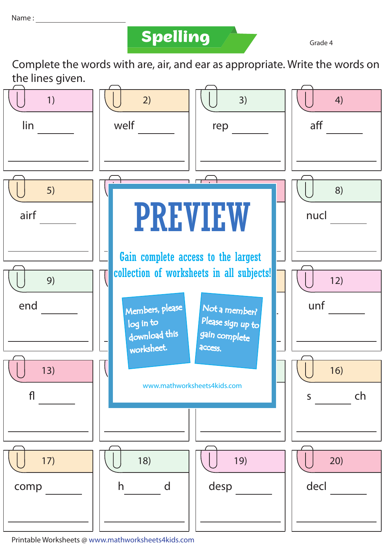## **Spelling Grade 4**

Complete the words with are, air, and ear as appropriate. Write the words on the lines given.



Printable Worksheets @ www.mathworksheets4kids.com